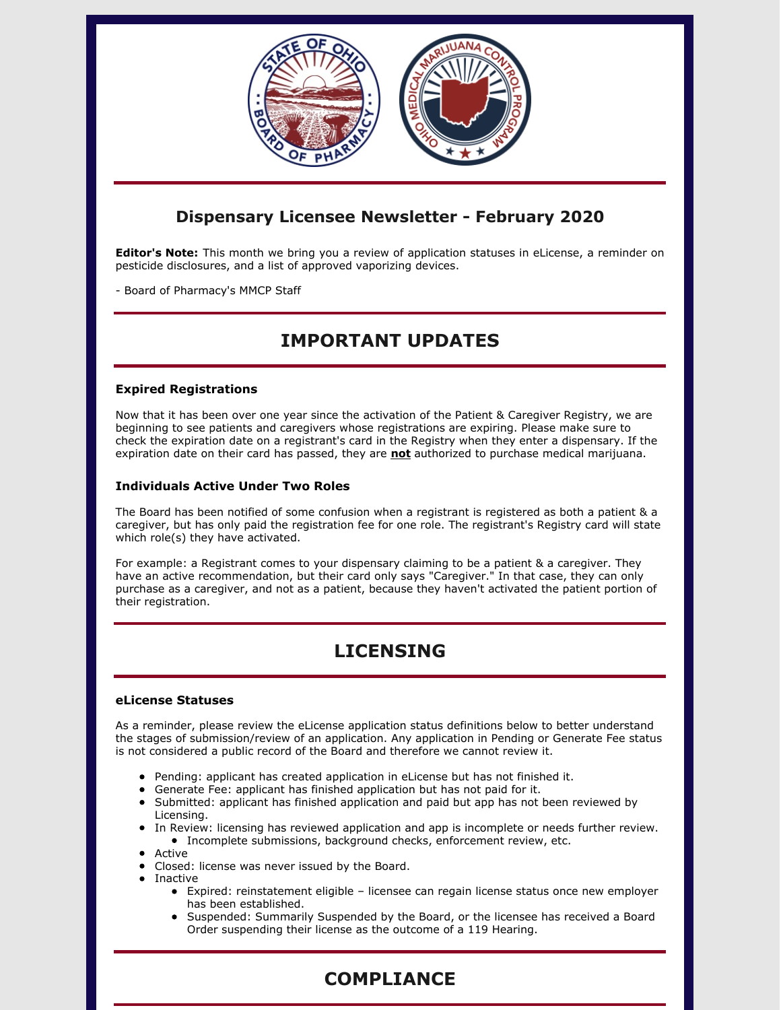

### **Dispensary Licensee Newsletter - February 2020**

**Editor's Note:** This month we bring you a review of application statuses in eLicense, a reminder on pesticide disclosures, and a list of approved vaporizing devices.

- Board of Pharmacy's MMCP Staff

# **IMPORTANT UPDATES**

#### **Expired Registrations**

Now that it has been over one year since the activation of the Patient & Caregiver Registry, we are beginning to see patients and caregivers whose registrations are expiring. Please make sure to check the expiration date on a registrant's card in the Registry when they enter a dispensary. If the expiration date on their card has passed, they are **not** authorized to purchase medical marijuana.

#### **Individuals Active Under Two Roles**

The Board has been notified of some confusion when a registrant is registered as both a patient & a caregiver, but has only paid the registration fee for one role. The registrant's Registry card will state which role(s) they have activated.

For example: a Registrant comes to your dispensary claiming to be a patient & a caregiver. They have an active recommendation, but their card only says "Caregiver." In that case, they can only purchase as a caregiver, and not as a patient, because they haven't activated the patient portion of their registration.

# **LICENSING**

#### **eLicense Statuses**

As a reminder, please review the eLicense application status definitions below to better understand the stages of submission/review of an application. Any application in Pending or Generate Fee status is not considered a public record of the Board and therefore we cannot review it.

- Pending: applicant has created application in eLicense but has not finished it.
- Generate Fee: applicant has finished application but has not paid for it.
- Submitted: applicant has finished application and paid but app has not been reviewed by Licensing.
- In Review: licensing has reviewed application and app is incomplete or needs further review. Incomplete submissions, background checks, enforcement review, etc.
- Active
- Closed: license was never issued by the Board.
- Inactive
	- Expired: reinstatement eligible licensee can regain license status once new employer has been established.
	- Suspended: Summarily Suspended by the Board, or the licensee has received a Board Order suspending their license as the outcome of a 119 Hearing.

# **COMPLIANCE**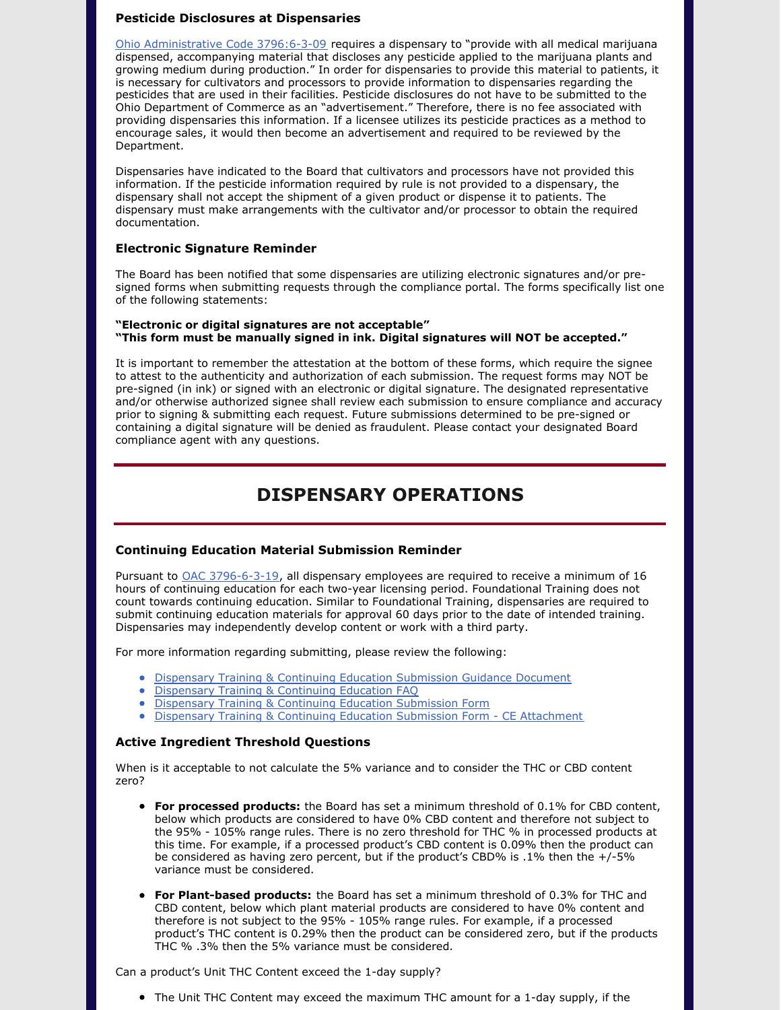#### **Pesticide Disclosures at Dispensaries**

Ohio [Administrative](http://codes.ohio.gov/oac/3796:6-3-09) Code 3796:6-3-09 requires a dispensary to "provide with all medical marijuana dispensed, accompanying material that discloses any pesticide applied to the marijuana plants and growing medium during production." In order for dispensaries to provide this material to patients, it is necessary for cultivators and processors to provide information to dispensaries regarding the pesticides that are used in their facilities. Pesticide disclosures do not have to be submitted to the Ohio Department of Commerce as an "advertisement." Therefore, there is no fee associated with providing dispensaries this information. If a licensee utilizes its pesticide practices as a method to encourage sales, it would then become an advertisement and required to be reviewed by the Department.

Dispensaries have indicated to the Board that cultivators and processors have not provided this information. If the pesticide information required by rule is not provided to a dispensary, the dispensary shall not accept the shipment of a given product or dispense it to patients. The dispensary must make arrangements with the cultivator and/or processor to obtain the required documentation.

#### **Electronic Signature Reminder**

The Board has been notified that some dispensaries are utilizing electronic signatures and/or presigned forms when submitting requests through the compliance portal. The forms specifically list one of the following statements:

#### **"Electronic or digital signatures are not acceptable" "This form must be manually signed in ink. Digital signatures will NOT be accepted."**

It is important to remember the attestation at the bottom of these forms, which require the signee to attest to the authenticity and authorization of each submission. The request forms may NOT be pre-signed (in ink) or signed with an electronic or digital signature. The designated representative and/or otherwise authorized signee shall review each submission to ensure compliance and accuracy prior to signing & submitting each request. Future submissions determined to be pre-signed or containing a digital signature will be denied as fraudulent. Please contact your designated Board compliance agent with any questions.

### **DISPENSARY OPERATIONS**

#### **Continuing Education Material Submission Reminder**

Pursuant to OAC [3796-6-3-19](http://codes.ohio.gov/oac/3796:6-3-19v1), all dispensary employees are required to receive a minimum of 16 hours of continuing education for each two-year licensing period. Foundational Training does not count towards continuing education. Similar to Foundational Training, dispensaries are required to submit continuing education materials for approval 60 days prior to the date of intended training. Dispensaries may independently develop content or work with a third party.

For more information regarding submitting, please review the following:

- **Dispensary Training & Continuing Education [Submission](https://www.medicalmarijuana.ohio.gov/Documents/LicenseeResources/Dispensary Licensee Resources/DISPENSARY EMPLOYEE TRAINING & CONTINUING EDUCATION/Dispensary Training & Continuing Education Submission Guidance Document.pdf) Guidance Document**
- [Dispensary](https://www.medicalmarijuana.ohio.gov/Documents/LicenseeResources/Dispensary Licensee Resources/DISPENSARY EMPLOYEE TRAINING & CONTINUING EDUCATION/Dispensary Training & Continuing Education FAQ.pdf) Training & Continuing Education FAQ
- **Dispensary Training & Continuing Education [Submission](https://www.medicalmarijuana.ohio.gov/Documents/LicenseeResources/Dispensary Licensee Resources/DISPENSARY EMPLOYEE TRAINING & CONTINUING EDUCATION/Dispensary Training & Continuing Education Submission Form.pdf) Form**
- **Dispensary Training & Continuing Education Submission Form CE [Attachment](https://www.medicalmarijuana.ohio.gov/Documents/LicenseeResources/Dispensary Licensee Resources/DISPENSARY EMPLOYEE TRAINING & CONTINUING EDUCATION/Dispensary Training & Continuing Education Submission Form  CE Attachment.pdf)**

#### **Active Ingredient Threshold Questions**

When is it acceptable to not calculate the 5% variance and to consider the THC or CBD content zero?

- **For processed products:** the Board has set a minimum threshold of 0.1% for CBD content, below which products are considered to have 0% CBD content and therefore not subject to the 95% - 105% range rules. There is no zero threshold for THC % in processed products at this time. For example, if a processed product's CBD content is 0.09% then the product can be considered as having zero percent, but if the product's CBD% is .1% then the +/-5% variance must be considered.
- **For Plant-based products:** the Board has set a minimum threshold of 0.3% for THC and CBD content, below which plant material products are considered to have 0% content and therefore is not subject to the 95% - 105% range rules. For example, if a processed product's THC content is 0.29% then the product can be considered zero, but if the products THC % .3% then the 5% variance must be considered.

Can a product's Unit THC Content exceed the 1-day supply?

The Unit THC Content may exceed the maximum THC amount for a 1-day supply, if the